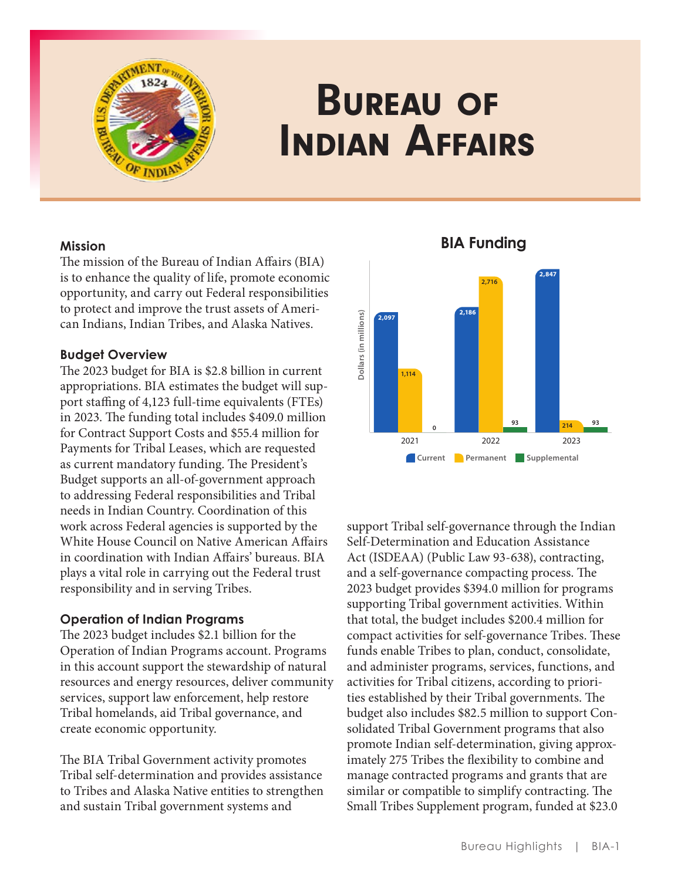

# Bureau of Indian Affairs

# **Mission**

The mission of the Bureau of Indian Affairs (BIA) is to enhance the quality of life, promote economic opportunity, and carry out Federal responsibilities to protect and improve the trust assets of American Indians, Indian Tribes, and Alaska Natives .

# **Budget Overview**

The 2023 budget for BIA is \$2.8 billion in current appropriations . BIA estimates the budget will support staffing of 4,123 full-time equivalents (FTEs) in 2023. The funding total includes \$409.0 million for Contract Support Costs and \$55 .4 million for Payments for Tribal Leases, which are requested as current mandatory funding. The President's Budget supports an all-of-government approach to addressing Federal responsibilities and Tribal needs in Indian Country. Coordination of this work across Federal agencies is supported by the White House Council on Native American Affairs in coordination with Indian Affairs' bureaus . BIA plays a vital role in carrying out the Federal trust responsibility and in serving Tribes .

# **Operation of Indian Programs**

The 2023 budget includes \$2 .1 billion for the Operation of Indian Programs account. Programs in this account support the stewardship of natural resources and energy resources, deliver community services, support law enforcement, help restore Tribal homelands, aid Tribal governance, and create economic opportunity.

The BIA Tribal Government activity promotes Tribal self-determination and provides assistance to Tribes and Alaska Native entities to strengthen and sustain Tribal government systems and



**BIA Funding**

support Tribal self-governance through the Indian Self-Determination and Education Assistance Act (ISDEAA) (Public Law 93-638), contracting, and a self-governance compacting process . The 2023 budget provides \$394 .0 million for programs supporting Tribal government activities. Within that total, the budget includes \$200 .4 million for compact activities for self-governance Tribes. These funds enable Tribes to plan, conduct, consolidate, and administer programs, services, functions, and activities for Tribal citizens, according to priorities established by their Tribal governments . The budget also includes \$82 .5 million to support Consolidated Tribal Government programs that also promote Indian self-determination, giving approximately 275 Tribes the flexibility to combine and manage contracted programs and grants that are similar or compatible to simplify contracting. The Small Tribes Supplement program, funded at \$23 .0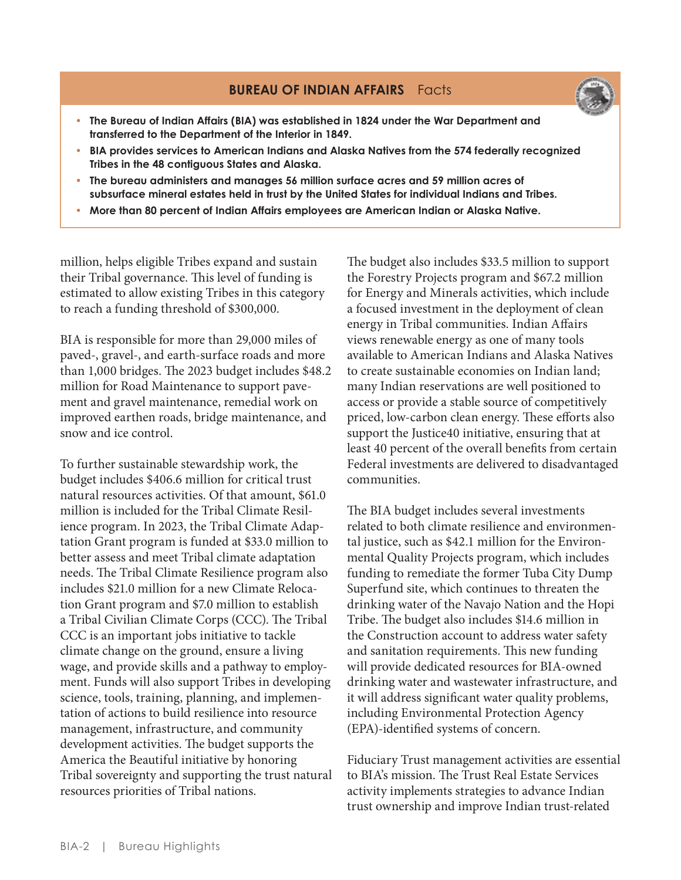# **BUREAU OF INDIAN AFFAIRS** Facts



- **• The Bureau of Indian Affairs (BIA) was established in 1824 under the War Department and transferred to the Department of the Interior in 1849.**
- **• BIA provides services to American Indians and Alaska Natives from the 574 federally recognized Tribes in the 48 contiguous States and Alaska.**
- **• The bureau administers and manages 56 million surface acres and 59 million acres of subsurface mineral estates held in trust by the United States for individual Indians and Tribes.**
- **• More than 80 percent of Indian Affairs employees are American Indian or Alaska Native.**

million, helps eligible Tribes expand and sustain their Tribal governance . This level of funding is estimated to allow existing Tribes in this category to reach a funding threshold of \$300,000 .

BIA is responsible for more than 29,000 miles of paved-, gravel-, and earth-surface roads and more than 1,000 bridges. The 2023 budget includes \$48.2 million for Road Maintenance to support pavement and gravel maintenance, remedial work on improved earthen roads, bridge maintenance, and snow and ice control.

To further sustainable stewardship work, the budget includes \$406 .6 million for critical trust natural resources activities. Of that amount, \$61.0 million is included for the Tribal Climate Resilience program. In 2023, the Tribal Climate Adaptation Grant program is funded at \$33 .0 million to better assess and meet Tribal climate adaptation needs. The Tribal Climate Resilience program also includes \$21 .0 million for a new Climate Relocation Grant program and \$7.0 million to establish a Tribal Civilian Climate Corps (CCC) . The Tribal CCC is an important jobs initiative to tackle climate change on the ground, ensure a living wage, and provide skills and a pathway to employment. Funds will also support Tribes in developing science, tools, training, planning, and implementation of actions to build resilience into resource management, infrastructure, and community development activities . The budget supports the America the Beautiful initiative by honoring Tribal sovereignty and supporting the trust natural resources priorities of Tribal nations .

The budget also includes \$33 .5 million to support the Forestry Projects program and \$67.2 million for Energy and Minerals activities, which include a focused investment in the deployment of clean energy in Tribal communities. Indian Affairs views renewable energy as one of many tools available to American Indians and Alaska Natives to create sustainable economies on Indian land; many Indian reservations are well positioned to access or provide a stable source of competitively priced, low-carbon clean energy. These efforts also support the Justice40 initiative, ensuring that at least 40 percent of the overall benefits from certain Federal investments are delivered to disadvantaged communities .

The BIA budget includes several investments related to both climate resilience and environmental justice, such as \$42 .1 million for the Environmental Quality Projects program, which includes funding to remediate the former Tuba City Dump Superfund site, which continues to threaten the drinking water of the Navajo Nation and the Hopi Tribe. The budget also includes \$14.6 million in the Construction account to address water safety and sanitation requirements. This new funding will provide dedicated resources for BIA-owned drinking water and wastewater infrastructure, and it will address significant water quality problems, including Environmental Protection Agency (EPA)-identified systems of concern .

Fiduciary Trust management activities are essential to BIA's mission . The Trust Real Estate Services activity implements strategies to advance Indian trust ownership and improve Indian trust-related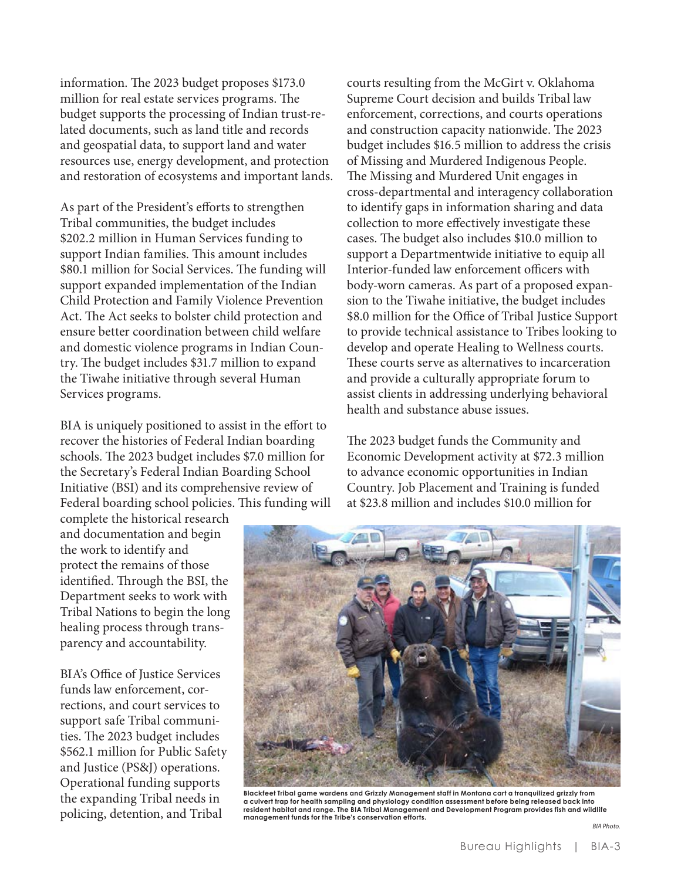information. The 2023 budget proposes \$173.0 million for real estate services programs. The budget supports the processing of Indian trust-related documents, such as land title and records and geospatial data, to support land and water resources use, energy development, and protection and restoration of ecosystems and important lands.

As part of the President's efforts to strengthen Tribal communities, the budget includes \$202.2 million in Human Services funding to support Indian families. This amount includes \$80.1 million for Social Services. The funding will support expanded implementation of the Indian Child Protection and Family Violence Prevention Act. The Act seeks to bolster child protection and ensure better coordination between child welfare and domestic violence programs in Indian Country. The budget includes \$31.7 million to expand the Tiwahe initiative through several Human Services programs.

BIA is uniquely positioned to assist in the effort to recover the histories of Federal Indian boarding schools. The 2023 budget includes \$7.0 million for the Secretary's Federal Indian Boarding School Initiative (BSI) and its comprehensive review of Federal boarding school policies. This funding will

complete the historical research and documentation and begin the work to identify and protect the remains of those identified. Through the BSI, the Department seeks to work with Tribal Nations to begin the long healing process through transparency and accountability.

BIA's Office of Justice Services funds law enforcement, corrections, and court services to support safe Tribal communities. The 2023 budget includes \$562.1 million for Public Safety and Justice (PS&J) operations. Operational funding supports the expanding Tribal needs in policing, detention, and Tribal

courts resulting from the McGirt v. Oklahoma Supreme Court decision and builds Tribal law enforcement, corrections, and courts operations and construction capacity nationwide. The 2023 budget includes \$16.5 million to address the crisis of Missing and Murdered Indigenous People. The Missing and Murdered Unit engages in cross-departmental and interagency collaboration to identify gaps in information sharing and data collection to more effectively investigate these cases. The budget also includes \$10.0 million to support a Departmentwide initiative to equip all Interior-funded law enforcement officers with body-worn cameras. As part of a proposed expansion to the Tiwahe initiative, the budget includes \$8.0 million for the Office of Tribal Justice Support to provide technical assistance to Tribes looking to develop and operate Healing to Wellness courts. These courts serve as alternatives to incarceration and provide a culturally appropriate forum to assist clients in addressing underlying behavioral health and substance abuse issues.

The 2023 budget funds the Community and Economic Development activity at \$72.3 million to advance economic opportunities in Indian Country. Job Placement and Training is funded at \$23.8 million and includes \$10.0 million for



**Blackfeet Tribal game wardens and Grizzly Management staff in Montana cart a tranquilized grizzly from a culvert trap for health sampling and physiology condition assessment before being released back into resident habitat and range. The BIA Tribal Management and Development Program provides fish and wildlife management funds for the Tribe's conservation efforts.** 

*BIA Photo.*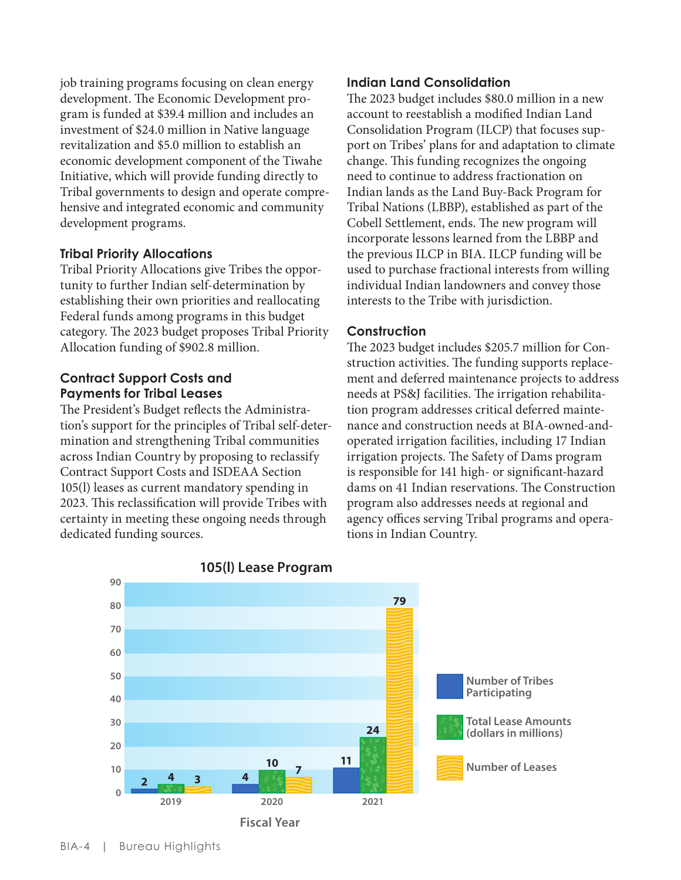job training programs focusing on clean energy development. The Economic Development program is funded at \$39.4 million and includes an investment of \$24.0 million in Native language revitalization and \$5.0 million to establish an economic development component of the Tiwahe Initiative, which will provide funding directly to Tribal governments to design and operate comprehensive and integrated economic and community development programs.

## **Tribal Priority Allocations**

Tribal Priority Allocations give Tribes the opportunity to further Indian self-determination by establishing their own priorities and reallocating Federal funds among programs in this budget category. The 2023 budget proposes Tribal Priority Allocation funding of \$902.8 million.

## **Contract Support Costs and Payments for Tribal Leases**

The President's Budget reflects the Administration's support for the principles of Tribal self-determination and strengthening Tribal communities across Indian Country by proposing to reclassify Contract Support Costs and ISDEAA Section 105(l) leases as current mandatory spending in 2023. This reclassification will provide Tribes with certainty in meeting these ongoing needs through dedicated funding sources.

#### **Indian Land Consolidation**

The 2023 budget includes \$80.0 million in a new account to reestablish a modified Indian Land Consolidation Program (ILCP) that focuses support on Tribes' plans for and adaptation to climate change. This funding recognizes the ongoing need to continue to address fractionation on Indian lands as the Land Buy-Back Program for Tribal Nations (LBBP), established as part of the Cobell Settlement, ends. The new program will incorporate lessons learned from the LBBP and the previous ILCP in BIA. ILCP funding will be used to purchase fractional interests from willing individual Indian landowners and convey those interests to the Tribe with jurisdiction.

#### **Construction**

The 2023 budget includes \$205.7 million for Construction activities. The funding supports replacement and deferred maintenance projects to address needs at PS&J facilities. The irrigation rehabilitation program addresses critical deferred maintenance and construction needs at BIA-owned-andoperated irrigation facilities, including 17 Indian irrigation projects. The Safety of Dams program is responsible for 141 high- or significant-hazard dams on 41 Indian reservations. The Construction program also addresses needs at regional and agency offices serving Tribal programs and operations in Indian Country.



**Fiscal Year**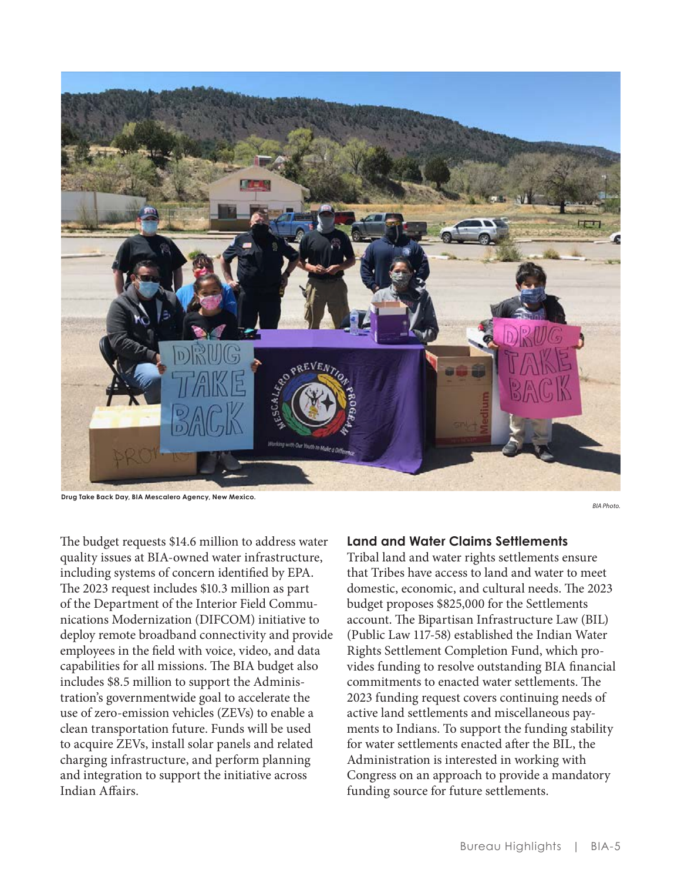

**Drug Take Back Day, BIA Mescalero Agency, New Mexico.** 

The budget requests \$14.6 million to address water quality issues at BIA-owned water infrastructure, including systems of concern identified by EPA. The 2023 request includes \$10.3 million as part of the Department of the Interior Field Communications Modernization (DIFCOM) initiative to deploy remote broadband connectivity and provide employees in the field with voice, video, and data capabilities for all missions. The BIA budget also includes \$8.5 million to support the Administration's governmentwide goal to accelerate the use of zero-emission vehicles (ZEVs) to enable a clean transportation future. Funds will be used to acquire ZEVs, install solar panels and related charging infrastructure, and perform planning and integration to support the initiative across Indian Affairs.

#### **Land and Water Claims Settlements**

Tribal land and water rights settlements ensure that Tribes have access to land and water to meet domestic, economic, and cultural needs. The 2023 budget proposes \$825,000 for the Settlements account. The Bipartisan Infrastructure Law (BIL) (Public Law 117-58) established the Indian Water Rights Settlement Completion Fund, which provides funding to resolve outstanding BIA financial commitments to enacted water settlements. The 2023 funding request covers continuing needs of active land settlements and miscellaneous payments to Indians. To support the funding stability for water settlements enacted after the BIL, the Administration is interested in working with Congress on an approach to provide a mandatory funding source for future settlements.

*BIA Photo.*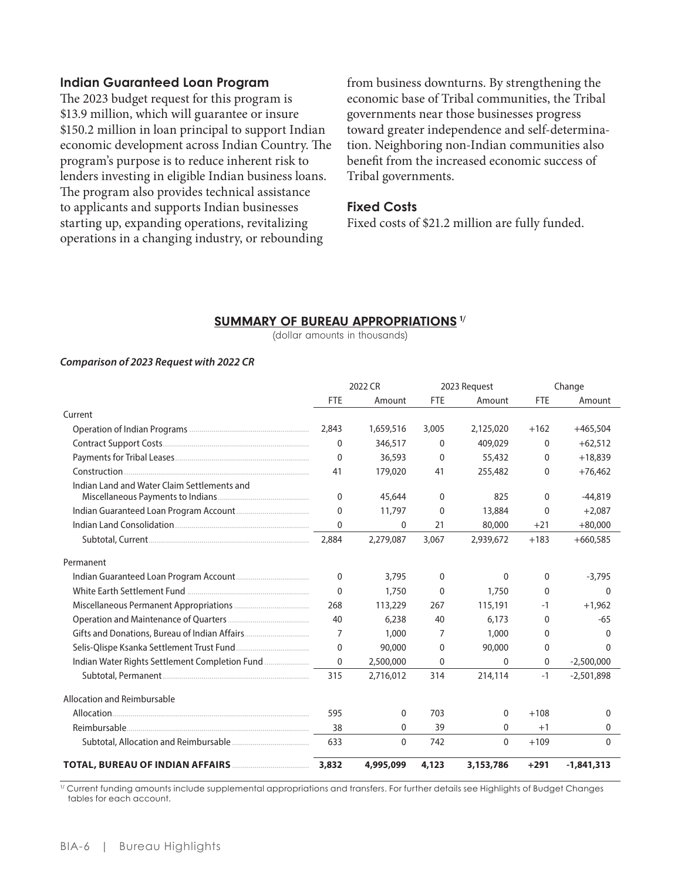#### **Indian Guaranteed Loan Program**

The 2023 budget request for this program is \$13.9 million, which will guarantee or insure \$150.2 million in loan principal to support Indian economic development across Indian Country. The program's purpose is to reduce inherent risk to lenders investing in eligible Indian business loans. The program also provides technical assistance to applicants and supports Indian businesses starting up, expanding operations, revitalizing operations in a changing industry, or rebounding

from business downturns. By strengthening the economic base of Tribal communities, the Tribal governments near those businesses progress toward greater independence and self-determination. Neighboring non-Indian communities also benefit from the increased economic success of Tribal governments.

#### **Fixed Costs**

Fixed costs of \$21.2 million are fully funded.

#### **SUMMARY OF BUREAU APPROPRIATIONS 1/**

(dollar amounts in thousands)

#### Comparison of 2023 Request with 2022 CR

|                                                | 2022 CR      |              | 2023 Request |              | Change       |              |
|------------------------------------------------|--------------|--------------|--------------|--------------|--------------|--------------|
|                                                | <b>FTE</b>   | Amount       | <b>FTE</b>   | Amount       | <b>FTE</b>   | Amount       |
| Current                                        |              |              |              |              |              |              |
|                                                | 2,843        | 1,659,516    | 3,005        | 2,125,020    | $+162$       | $+465,504$   |
|                                                | 0            | 346,517      | $\mathbf{0}$ | 409,029      | 0            | $+62,512$    |
|                                                | $\mathbf{0}$ | 36,593       | $\mathbf{0}$ | 55,432       | 0            | $+18,839$    |
|                                                | 41           | 179,020      | 41           | 255,482      | 0            | $+76,462$    |
| Indian Land and Water Claim Settlements and    | $\mathbf 0$  | 45,644       | $\mathbf{0}$ | 825          | $\mathbf{0}$ | $-44.819$    |
|                                                | $\Omega$     | 11,797       | $\Omega$     | 13,884       | $\Omega$     | $+2.087$     |
|                                                | $\mathbf{0}$ | 0            | 21           | 80,000       | $+21$        | $+80,000$    |
|                                                | 2,884        | 2,279,087    | 3,067        | 2,939,672    | $+183$       | $+660,585$   |
| Permanent                                      |              |              |              |              |              |              |
|                                                | $\mathbf 0$  | 3.795        | $\mathbf{0}$ | $\mathbf{0}$ | $\mathbf{0}$ | $-3,795$     |
|                                                | $\mathbf{0}$ | 1,750        | $\Omega$     | 1,750        | $\Omega$     | 0            |
|                                                | 268          | 113,229      | 267          | 115,191      | $-1$         | $+1,962$     |
|                                                | 40           | 6,238        | 40           | 6,173        | 0            | $-65$        |
| Gifts and Donations, Bureau of Indian Affairs  | 7            | 1,000        | 7            | 1,000        | $\Omega$     | 0            |
|                                                | $\mathbf{0}$ | 90,000       | $\mathbf{0}$ | 90,000       | 0            | 0            |
| Indian Water Rights Settlement Completion Fund | $\mathbf{0}$ | 2,500,000    | 0            | $\mathbf 0$  | 0            | $-2,500,000$ |
|                                                | 315          | 2,716,012    | 314          | 214,114      | $-1$         | $-2,501,898$ |
| Allocation and Reimbursable                    |              |              |              |              |              |              |
|                                                | 595          | $\Omega$     | 703          | $\mathbf{0}$ | $+108$       | 0            |
|                                                | 38           | $\mathbf{0}$ | 39           | $\mathbf{0}$ | $+1$         | 0            |
|                                                | 633          | $\Omega$     | 742          | $\Omega$     | $+109$       | $\Omega$     |
|                                                | 3,832        | 4,995,099    | 4,123        | 3,153,786    | $+291$       | $-1,841,313$ |

<sup>1/</sup> Current funding amounts include supplemental appropriations and transfers. For further details see Highlights of Budget Changes tables for each account.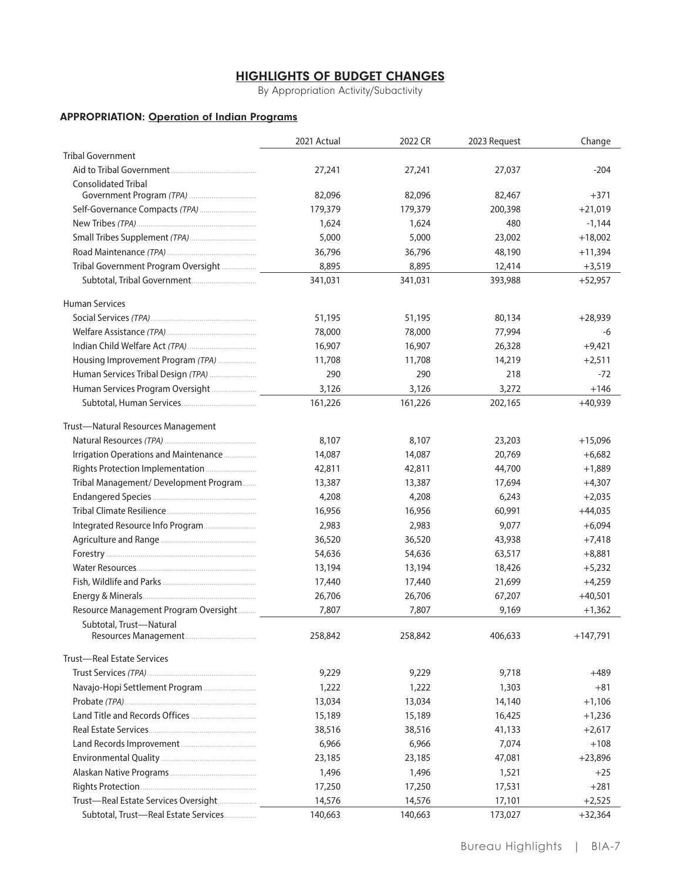# **HIGHLIGHTS OF BUDGET CHANGES**

By Appropriation Activity/Subactivity

#### **APPROPRIATION: Operation of Indian Programs**

|                                       | 2021 Actual | 2022 CR | 2023 Request | Change     |
|---------------------------------------|-------------|---------|--------------|------------|
| <b>Tribal Government</b>              |             |         |              |            |
|                                       | 27,241      | 27,241  | 27,037       | $-204$     |
| <b>Consolidated Tribal</b>            |             |         |              |            |
|                                       | 82,096      | 82,096  | 82,467       | $+371$     |
|                                       | 179,379     | 179,379 | 200,398      | $+21,019$  |
|                                       | 1,624       | 1,624   | 480          | $-1,144$   |
|                                       | 5,000       | 5,000   | 23,002       | $+18,002$  |
|                                       | 36,796      | 36,796  | 48,190       | $+11,394$  |
| Tribal Government Program Oversight   | 8,895       | 8,895   | 12,414       | $+3,519$   |
|                                       | 341,031     | 341,031 | 393,988      | $+52,957$  |
| <b>Human Services</b>                 |             |         |              |            |
|                                       | 51,195      | 51,195  | 80,134       | $+28,939$  |
|                                       | 78,000      | 78,000  | 77,994       | -6         |
|                                       | 16,907      | 16,907  | 26,328       | $+9,421$   |
| Housing Improvement Program (TPA)     | 11,708      | 11,708  | 14,219       | $+2,511$   |
| Human Services Tribal Design (TPA)    | 290         | 290     | 218          | $-72$      |
| Human Services Program Oversight      | 3,126       | 3,126   | 3,272        | $+146$     |
|                                       | 161,226     | 161,226 | 202,165      | $+40,939$  |
| Trust-Natural Resources Management    |             |         |              |            |
|                                       | 8,107       | 8,107   | 23,203       | $+15,096$  |
| Irrigation Operations and Maintenance | 14,087      | 14,087  | 20,769       | $+6,682$   |
|                                       | 42,811      | 42,811  | 44,700       | $+1,889$   |
| Tribal Management/Development Program | 13,387      | 13,387  | 17,694       | $+4,307$   |
|                                       | 4,208       | 4,208   | 6,243        | $+2,035$   |
|                                       | 16,956      | 16,956  | 60,991       | $+44,035$  |
|                                       | 2,983       | 2,983   | 9,077        | $+6,094$   |
|                                       | 36,520      | 36,520  | 43,938       | $+7,418$   |
|                                       | 54,636      | 54,636  | 63,517       | $+8,881$   |
|                                       | 13,194      | 13,194  | 18,426       | $+5,232$   |
|                                       | 17,440      | 17,440  | 21,699       | $+4,259$   |
|                                       | 26,706      | 26,706  | 67,207       | $+40,501$  |
| Resource Management Program Oversight | 7,807       | 7,807   | 9,169        | $+1,362$   |
| Subtotal, Trust-Natural               |             |         |              |            |
|                                       | 258,842     | 258,842 | 406,633      | $+147,791$ |
| Trust-Real Estate Services            |             |         |              |            |
|                                       | 9,229       | 9,229   | 9,718        | +489       |
|                                       | 1,222       | 1,222   | 1,303        | $+81$      |
|                                       | 13,034      | 13,034  | 14,140       | $+1,106$   |
|                                       | 15,189      | 15,189  | 16,425       | $+1,236$   |
|                                       | 38,516      | 38,516  | 41,133       | $+2,617$   |
|                                       | 6,966       | 6,966   | 7,074        | $+108$     |
|                                       | 23,185      | 23,185  | 47,081       | $+23,896$  |
|                                       | 1,496       | 1,496   | 1,521        | $+25$      |
|                                       | 17,250      | 17,250  | 17,531       | $+281$     |
| Trust-Real Estate Services Oversight  | 14,576      | 14,576  | 17,101       | $+2,525$   |
| Subtotal, Trust-Real Estate Services  | 140,663     | 140,663 | 173,027      | $+32,364$  |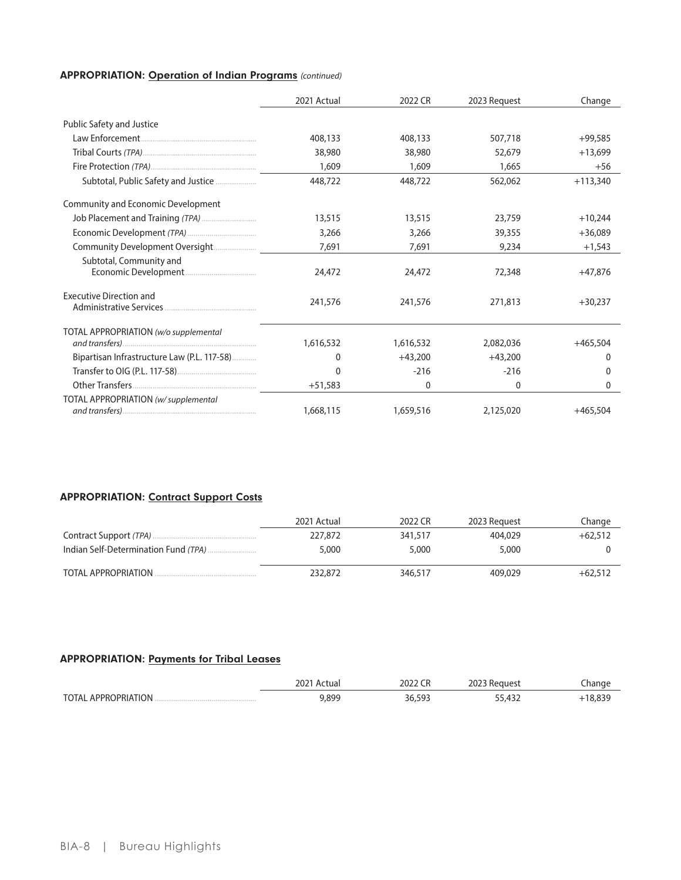## **APPROPRIATION: Operation of Indian Programs (continued)**

|                                             | 2021 Actual | 2022 CR   | 2023 Request | Change     |
|---------------------------------------------|-------------|-----------|--------------|------------|
| Public Safety and Justice                   |             |           |              |            |
|                                             | 408,133     | 408,133   | 507,718      | $+99,585$  |
|                                             | 38,980      | 38,980    | 52,679       | $+13.699$  |
|                                             | 1,609       | 1,609     | 1,665        | $+56$      |
| Subtotal, Public Safety and Justice         | 448,722     | 448,722   | 562,062      | $+113,340$ |
| Community and Economic Development          |             |           |              |            |
|                                             | 13,515      | 13,515    | 23,759       | $+10,244$  |
|                                             | 3,266       | 3,266     | 39,355       | $+36,089$  |
| Community Development Oversight             | 7,691       | 7,691     | 9,234        | $+1,543$   |
| Subtotal, Community and                     | 24,472      | 24,472    | 72,348       | $+47.876$  |
| <b>Executive Direction and</b>              | 241,576     | 241,576   | 271,813      | $+30,237$  |
| TOTAL APPROPRIATION (w/o supplemental       | 1,616,532   | 1,616,532 | 2,082,036    | $+465,504$ |
| Bipartisan Infrastructure Law (P.L. 117-58) | 0           | $+43,200$ | $+43,200$    | 0          |
|                                             | 0           | $-216$    | $-216$       | 0          |
|                                             | $+51,583$   | 0         | 0            | 0          |
| TOTAL APPROPRIATION (w/supplemental         | 1,668,115   | 1,659,516 | 2,125,020    | $+465.504$ |

# **APPROPRIATION: Contract Support Costs**

|                     | 2021 Actual | 2022 CR | 2023 Request | Change    |
|---------------------|-------------|---------|--------------|-----------|
|                     | 227,872     | 341,517 | 404,029      | $+62,512$ |
|                     | 5,000       | 5,000   | 5,000        |           |
| TOTAL APPROPRIATION | 232,872     | 346,517 | 409,029      | $+62.512$ |

#### **APPROPRIATION: Payments for Tribal Leases**

|                          | 2021<br>Actua | 2022     | 2023<br>' Keauest | nange |
|--------------------------|---------------|----------|-------------------|-------|
| TOTAL APPROPRIATION<br>. | 899,(         | 5Q<br>36 | $\Lambda$<br>$-1$ |       |